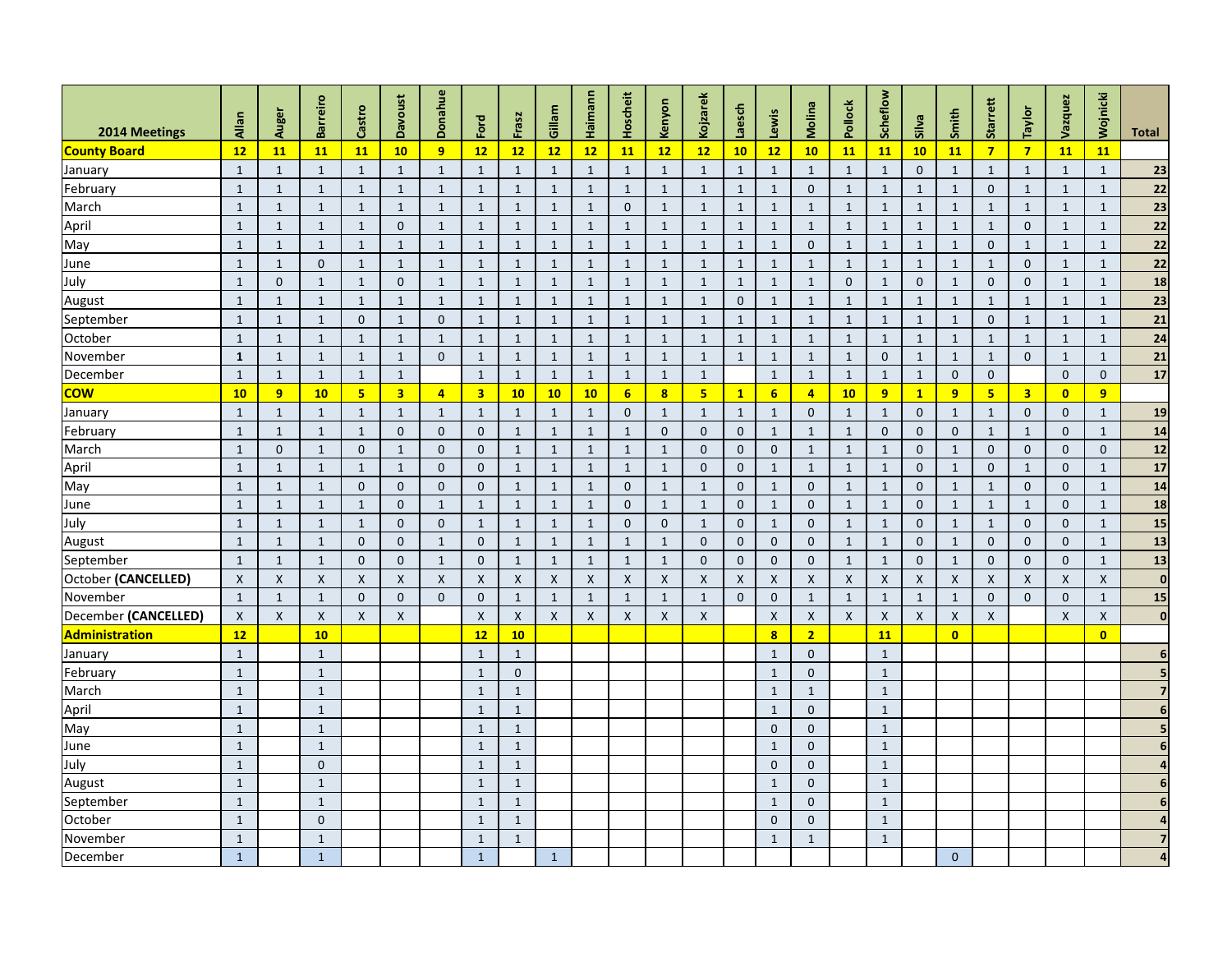| 2014 Meetings        | Allan        | Auger                     | <b>Barreiro</b> | Castro         | <b>Davoust</b>          | Donahue            | Ford                    | Frasz          | Gillam         | Haimann      | Hoscheit         | Kenyon                  | Kojzarek        | aesch          | Lewis                   | Molina         | Pollock      | Scheflow                  | Silva          | Smith                   | <b>Starrett</b>         | Taylor                  | Vazquez      | Wojnicki                | <b>Total</b>     |
|----------------------|--------------|---------------------------|-----------------|----------------|-------------------------|--------------------|-------------------------|----------------|----------------|--------------|------------------|-------------------------|-----------------|----------------|-------------------------|----------------|--------------|---------------------------|----------------|-------------------------|-------------------------|-------------------------|--------------|-------------------------|------------------|
| <b>County Board</b>  | 12           | 11                        | 11              | 11             | 10 <sub>1</sub>         | $\overline{9}$     | 12                      | 12             | 12             | 12           | <b>11</b>        | 12                      | 12              | 10             | 12                      | 10             | <b>11</b>    | <b>11</b>                 | 10             | <b>11</b>               | $\overline{\mathbf{z}}$ | $\overline{\mathbf{z}}$ | <b>11</b>    | <b>11</b>               |                  |
| January              | $\mathbf{1}$ | $\mathbf{1}$              |                 | $\mathbf{1}$   | $\mathbf{1}$            | $\mathbf{1}$       | $\mathbf{1}$            |                | $\mathbf{1}$   | $\mathbf{1}$ | $\mathbf{1}$     |                         | $\mathbf{1}$    | 1              | $\mathbf 1$             | 1              | $\mathbf{1}$ | $\mathbf 1$               | $\overline{0}$ | $\mathbf{1}$            |                         | $\mathbf{1}$            | $\mathbf{1}$ | $\mathbf{1}$            | 23               |
| February             | $\mathbf{1}$ | $\mathbf{1}$              | $\mathbf{1}$    | $\mathbf{1}$   | 1                       | 1                  | $\mathbf{1}$            | 1              | $\mathbf{1}$   | -1           | $\mathbf{1}$     |                         | $\mathbf{1}$    | $\mathbf{1}$   | $\mathbf{1}$            | $\mathbf 0$    | $\mathbf{1}$ | $\mathbf{1}$              | $\mathbf{1}$   | $\mathbf{1}$            | $\mathbf{0}$            | $\mathbf{1}$            | $\mathbf{1}$ | $\mathbf{1}$            | 22               |
| March                | $\mathbf{1}$ | $\overline{1}$            | $\mathbf{1}$    | $\mathbf{1}$   | $\mathbf{1}$            | $\mathbf{1}$       | $\mathbf{1}$            | 1              | $\mathbf{1}$   | $\mathbf{1}$ | $\mathbf{0}$     | $\mathbf{1}$            | $\mathbf{1}$    | 1              | $\mathbf{1}$            | $\mathbf{1}$   | $\mathbf{1}$ | $\mathbf{1}$              | $\mathbf{1}$   | $\mathbf{1}$            | $\mathbf{1}$            | $\mathbf{1}$            | $\mathbf{1}$ | $\mathbf{1}$            | 23               |
| April                | $\mathbf{1}$ | $\mathbf{1}$              | -1              | $\mathbf{1}$   | $\mathbf{0}$            | $\mathbf{1}$       | $\mathbf{1}$            | -1             | $\mathbf{1}$   | $\mathbf{1}$ | $\mathbf{1}$     |                         | $\mathbf{1}$    | -1             | $\mathbf{1}$            | $\mathbf{1}$   | $\mathbf{1}$ | $\mathbf{1}$              | $\mathbf{1}$   | $\mathbf{1}$            |                         | $\mathbf{0}$            | $\mathbf 1$  | $\mathbf{1}$            | 22               |
| May                  | $\mathbf{1}$ | $\overline{1}$            | 1               | $\mathbf{1}$   | $\mathbf{1}$            | $\mathbf{1}$       | $\mathbf{1}$            |                | $\mathbf{1}$   | $\mathbf{1}$ | $\mathbf{1}$     |                         | $\mathbf{1}$    | -1             | $\mathbf{1}$            | $\mathbf 0$    | $\mathbf{1}$ | $\mathbf{1}$              | $\mathbf{1}$   | $\mathbf{1}$            | $\mathbf 0$             | $\mathbf{1}$            | $\mathbf{1}$ | $\mathbf{1}$            | 22               |
| June                 | $\mathbf{1}$ | $\mathbf 1$               | $\mathbf 0$     | $\mathbf{1}$   | $\mathbf{1}$            | $\mathbf{1}$       | $\mathbf{1}$            |                | $\mathbf{1}$   | $\mathbf{1}$ | $\mathbf{1}$     |                         | 1               | -1             | $\mathbf{1}$            | -1             | $\mathbf{1}$ | $\mathbf{1}$              | $\mathbf{1}$   | $\mathbf{1}$            | 1                       | $\overline{0}$          | $\mathbf{1}$ | $\mathbf{1}$            | 22               |
| July                 | $\mathbf{1}$ | $\overline{0}$            | $\mathbf{1}$    | $\mathbf{1}$   | $\mathbf{0}$            | $\mathbf{1}$       | $\mathbf{1}$            | 1              | $\mathbf{1}$   | $\mathbf{1}$ | $\mathbf{1}$     | $\mathbf{1}$            | $\mathbf{1}$    | 1              | $\mathbf{1}$            | $\mathbf{1}$   | $\mathbf{0}$ | $\mathbf{1}$              | $\mathbf{0}$   | $\mathbf{1}$            | $\mathbf 0$             | $\mathbf{0}$            | $\mathbf{1}$ | $\mathbf{1}$            | 18               |
| August               | $\mathbf{1}$ | $\overline{1}$            | -1              | $\mathbf{1}$   | $\mathbf{1}$            | $\mathbf{1}$       | $\mathbf{1}$            |                | $\mathbf{1}$   | $\mathbf{1}$ | $\mathbf{1}$     |                         | $\mathbf{1}$    | $\mathbf{0}$   | $\mathbf{1}$            | $\mathbf{1}$   | $\mathbf{1}$ | $\mathbf{1}$              | $\mathbf{1}$   | $\mathbf{1}$            | $\mathbf 1$             | $\mathbf{1}$            | $\mathbf{1}$ | $\mathbf{1}$            | 23               |
| September            | $\mathbf{1}$ | $\mathbf{1}$              |                 | $\mathbf{0}$   | $\mathbf{1}$            | $\mathbf{0}$       | $\mathbf{1}$            |                | $\mathbf{1}$   | -1           | $\mathbf{1}$     |                         | 1               | 1              | $\mathbf{1}$            |                | $\mathbf{1}$ | $\mathbf{1}$              | $\mathbf{1}$   | $\mathbf{1}$            | $\mathbf 0$             | $\mathbf{1}$            | $\mathbf{1}$ | $\mathbf{1}$            | 21               |
| October              | $\mathbf{1}$ | $\mathbf{1}$              | $\mathbf{1}$    | $\mathbf{1}$   | $\mathbf{1}$            | $\mathbf{1}$       | $\mathbf{1}$            | $\mathbf{1}$   | $\mathbf{1}$   | $\mathbf{1}$ | $\mathbf{1}$     | $\mathbf{1}$            | $\mathbf{1}$    | 1              | $\mathbf{1}$            | 1              | $\mathbf{1}$ | $\mathbf{1}$              | $\mathbf{1}$   | $\mathbf{1}$            | 1                       | $\mathbf{1}$            | $\mathbf{1}$ | $\mathbf{1}$            | 24               |
| November             | $\mathbf{1}$ | $\mathbf{1}$              | $\mathbf{1}$    | $\mathbf{1}$   | $\mathbf{1}$            | $\mathbf 0$        | $\mathbf{1}$            | $\mathbf 1$    | $\mathbf{1}$   | $\mathbf{1}$ | $\mathbf{1}$     | $\mathbf{1}$            | $\mathbf{1}$    | 1              | $\mathbf{1}$            | $\mathbf{1}$   | $\mathbf{1}$ | $\mathbf{0}$              | $\mathbf{1}$   | $\mathbf{1}$            | $\mathbf{1}$            | $\overline{0}$          | $\mathbf{1}$ | $\mathbf{1}$            | 21               |
| December             | $\mathbf{1}$ | $\mathbf{1}$              | $\mathbf{1}$    | $\mathbf{1}$   | $\mathbf{1}$            |                    | $\mathbf{1}$            | -1             | $\mathbf{1}$   | $\mathbf{1}$ | $\mathbf{1}$     | $\mathbf{1}$            | 1               |                | $\mathbf{1}$            | $\mathbf{1}$   | $\mathbf{1}$ | $\mathbf{1}$              | $\mathbf{1}$   | $\mathbf{0}$            | $\mathbf{0}$            |                         | $\mathbf{0}$ | $\overline{0}$          | 17               |
| <b>COW</b>           | 10           | 9                         | 10              | $5\phantom{1}$ | $\overline{\mathbf{3}}$ | $\overline{a}$     | $\overline{\mathbf{3}}$ | 10             | 10             | 10           | $6 \overline{6}$ | $\overline{\mathbf{8}}$ | $5\overline{5}$ | $\mathbf{1}$   | 6 <sup>1</sup>          | $\overline{4}$ | 10           | 9                         | $\mathbf{1}$   | 9                       | 5 <sub>5</sub>          | 3 <sup>1</sup>          | $\bullet$    | 9                       |                  |
| January              | $\mathbf{1}$ | $\mathbf{1}$              | 1               | $\mathbf{1}$   | $\mathbf{1}$            | $\mathbf{1}$       | $\mathbf{1}$            | 1              | $\mathbf{1}$   | $\mathbf{1}$ | $\overline{0}$   | $\mathbf{1}$            | $\mathbf{1}$    | 1              | $\mathbf{1}$            | $\mathbf 0$    | $\mathbf{1}$ | $\mathbf{1}$              | $\overline{0}$ | $\mathbf{1}$            | 1                       | $\overline{0}$          | $\mathbf 0$  | $\mathbf{1}$            | 19               |
| February             | $\mathbf{1}$ | $\mathbf{1}$              | 1               | $\mathbf{1}$   | $\mathbf{0}$            | $\mathbf 0$        | $\mathbf 0$             |                | $\mathbf{1}$   | $\mathbf{1}$ | $\mathbf{1}$     | $\mathbf 0$             | $\mathbf 0$     | $\mathbf 0$    | 1                       | -1             | $\mathbf{1}$ | $\mathbf 0$               | $\overline{0}$ | $\mathbf{0}$            |                         | $\mathbf{1}$            | $\mathbf{0}$ | $\mathbf{1}$            | 14               |
| March                | $\mathbf{1}$ | $\mathbf{0}$              | 1               | $\mathbf{0}$   | $\mathbf{1}$            | $\mathbf 0$        | $\mathbf{0}$            | 1              | $\mathbf{1}$   | $\mathbf{1}$ | $\mathbf{1}$     | $\mathbf 1$             | $\mathbf 0$     | $\mathbf{0}$   | $\mathbf{0}$            | 1              | $\mathbf{1}$ | $\mathbf{1}$              | $\overline{0}$ | $\mathbf{1}$            | $\mathbf 0$             | $\overline{0}$          | $\mathbf{0}$ | $\overline{0}$          | $12$             |
| April                | $\mathbf{1}$ | $\mathbf 1$               | -1              | $\mathbf{1}$   | $\mathbf{1}$            | $\mathbf 0$        | $\mathbf{0}$            |                | $\mathbf{1}$   | $\mathbf{1}$ | $\mathbf{1}$     |                         | $\mathbf 0$     | $\mathbf{0}$   | $\mathbf{1}$            | 1              | $\mathbf{1}$ | $\mathbf{1}$              | $\overline{0}$ | $\mathbf{1}$            | $\mathbf 0$             | $\mathbf{1}$            | 0            | $\mathbf{1}$            | 17               |
| May                  | $\mathbf{1}$ | $\mathbf{1}$              | $\mathbf{1}$    | $\mathbf 0$    | $\mathbf{0}$            | $\mathbf{0}$       | $\overline{0}$          | $\mathbf{1}$   | $\mathbf{1}$   | $\mathbf{1}$ | $\overline{0}$   | $\mathbf{1}$            | $\mathbf{1}$    | $\mathbf 0$    | $\mathbf{1}$            | $\mathbf 0$    | $\mathbf{1}$ | $\mathbf{1}$              | $\overline{0}$ | $\mathbf{1}$            | $\mathbf{1}$            | $\overline{0}$          | $\mathbf{0}$ | $\mathbf{1}$            | 14               |
| June                 | $\mathbf{1}$ | $\mathbf{1}$              | $\mathbf{1}$    | $\mathbf{1}$   | $\overline{0}$          | $\mathbf{1}$       | $\mathbf{1}$            | 1              | $\mathbf{1}$   | $\mathbf{1}$ | $\overline{0}$   | $\mathbf{1}$            | $\mathbf{1}$    | $\mathbf{0}$   | $\mathbf{1}$            | $\mathbf 0$    | $\mathbf{1}$ | $\mathbf{1}$              | $\overline{0}$ | $\mathbf{1}$            | $\mathbf{1}$            | $\mathbf{1}$            | $\mathbf 0$  | $\mathbf{1}$            | 18               |
| July                 | $\mathbf{1}$ | $\mathbf{1}$              | $\mathbf{1}$    | $\mathbf{1}$   | $\overline{0}$          | $\mathbf 0$        | $\mathbf{1}$            | $\mathbf{1}$   | $\mathbf{1}$   | $\mathbf{1}$ | $\mathbf{0}$     | $\overline{0}$          | $\mathbf{1}$    | $\mathbf 0$    | $\mathbf{1}$            | $\mathbf 0$    | $\mathbf{1}$ | $\mathbf{1}$              | $\overline{0}$ | $\mathbf{1}$            | $\mathbf{1}$            | $\overline{0}$          | $\mathbf{0}$ | $\mathbf{1}$            | 15               |
| August               | $\mathbf{1}$ | $\mathbf{1}$              | $\mathbf{1}$    | $\mathbf{0}$   | $\overline{0}$          | $\mathbf{1}$       | $\overline{0}$          | $\mathbf{1}$   | $\mathbf{1}$   | $\mathbf{1}$ | $\mathbf{1}$     | $\mathbf{1}$            | $\mathbf{0}$    | $\overline{0}$ | $\mathbf{0}$            | $\mathbf 0$    | $\mathbf{1}$ | $\mathbf{1}$              | $\mathbf{0}$   | $\mathbf{1}$            | $\mathbf{0}$            | $\overline{0}$          | $\mathbf{0}$ | $\mathbf{1}$            | 13               |
| September            | $\mathbf{1}$ | $\mathbf{1}$              | 1               | $\mathbf{0}$   | $\overline{0}$          | $\mathbf{1}$       | $\mathbf{0}$            |                | $\mathbf{1}$   | $\mathbf{1}$ | $\mathbf{1}$     |                         | $\mathbf 0$     | $\mathbf{0}$   | $\overline{0}$          | $\mathbf 0$    | $\mathbf{1}$ | $\mathbf{1}$              | $\overline{0}$ | $\mathbf{1}$            | $\mathbf 0$             | $\mathbf{0}$            | 0            | $\mathbf{1}$            | 13               |
| October (CANCELLED)  | $\mathsf{X}$ | $\boldsymbol{\mathsf{X}}$ | X               | $\pmb{\times}$ | X                       | $\pmb{\mathsf{X}}$ | $\pmb{\times}$          | X              | $\pmb{\times}$ | X            | X                | X                       | X               | X              | X                       | X              | X            | $\boldsymbol{\mathsf{X}}$ | X              | $\boldsymbol{X}$        | X                       | X                       | X            | $\mathsf X$             | 0                |
| November             | $\mathbf{1}$ | $\mathbf{1}$              | 1               | $\mathbf{0}$   | $\mathbf{0}$            | $\mathbf 0$        | $\mathbf{0}$            | $\mathbf{1}$   | $\mathbf{1}$   | $\mathbf{1}$ | $\mathbf{1}$     | 1                       | $\mathbf{1}$    | $\mathbf 0$    | $\mathbf{0}$            | $\mathbf{1}$   | $\mathbf{1}$ | $\mathbf 1$               | $\mathbf{1}$   | $\mathbf{1}$            | $\mathbf 0$             | $\mathbf{0}$            | $\mathbf{0}$ | $\mathbf{1}$            | 15               |
| December (CANCELLED) | X            | X                         | X               | X              | X                       |                    | X                       | X              | $\mathsf{X}$   | $\mathsf{X}$ | X                | X                       | X               |                | X                       | X              | X            | X                         | X              | X                       | X                       |                         | X            | X                       | 0                |
| Administration       | 12           |                           | 10              |                |                         |                    | 12                      | 10             |                |              |                  |                         |                 |                | $\overline{\mathbf{8}}$ | $\overline{2}$ |              | <b>11</b>                 |                | $\overline{\mathbf{0}}$ |                         |                         |              | $\overline{\mathbf{0}}$ |                  |
| January              | $\mathbf{1}$ |                           | $\mathbf{1}$    |                |                         |                    | $\mathbf{1}$            | $\mathbf{1}$   |                |              |                  |                         |                 |                | $\mathbf{1}$            | $\mathbf 0$    |              | $\mathbf{1}$              |                |                         |                         |                         |              |                         | $6 \overline{6}$ |
| February             | $\mathbf{1}$ |                           | $\mathbf{1}$    |                |                         |                    | $\mathbf{1}$            | $\overline{0}$ |                |              |                  |                         |                 |                | $\mathbf{1}$            | $\mathbf 0$    |              | $\mathbf{1}$              |                |                         |                         |                         |              |                         | 5 <sub>l</sub>   |
| March                | $1\,$        |                           | $\mathbf{1}$    |                |                         |                    | $\mathbf{1}$            |                |                |              |                  |                         |                 |                | $\mathbf{1}$            | $\mathbf{1}$   |              | $\mathbf{1}$              |                |                         |                         |                         |              |                         |                  |
| April                | $\mathbf{1}$ |                           |                 |                |                         |                    | $\mathbf{1}$            |                |                |              |                  |                         |                 |                | $\mathbf{1}$            | $\mathbf 0$    |              | $\mathbf{1}$              |                |                         |                         |                         |              |                         | 6 <sup>1</sup>   |
| May                  | $\mathbf{1}$ |                           | $\mathbf{1}$    |                |                         |                    | $\mathbf{1}$            | 1              |                |              |                  |                         |                 |                | $\mathbf{0}$            | $\pmb{0}$      |              | $\mathbf{1}$              |                |                         |                         |                         |              |                         |                  |
| June                 | $\mathbf{1}$ |                           | $\mathbf{1}$    |                |                         |                    | $\mathbf{1}$            | $\mathbf{1}$   |                |              |                  |                         |                 |                | $\mathbf{1}$            | $\mathbf 0$    |              | $\mathbf{1}$              |                |                         |                         |                         |              |                         | 6 <sup>1</sup>   |
| July                 | $\mathbf{1}$ |                           | $\mathbf 0$     |                |                         |                    | $\mathbf{1}$            |                |                |              |                  |                         |                 |                | $\mathbf{0}$            | $\mathbf 0$    |              | $\mathbf{1}$              |                |                         |                         |                         |              |                         | $\vert$          |
| August               | $\mathbf{1}$ |                           | 1               |                |                         |                    | $\mathbf{1}$            | $\mathbf{1}$   |                |              |                  |                         |                 |                | $\mathbf{1}$            | $\mathbf 0$    |              | $\mathbf{1}$              |                |                         |                         |                         |              |                         | 6                |
| September            | $\mathbf{1}$ |                           | $\mathbf{1}$    |                |                         |                    | $\mathbf{1}$            | $\mathbf{1}$   |                |              |                  |                         |                 |                | $\mathbf{1}$            | $\mathbf{0}$   |              | $\mathbf{1}$              |                |                         |                         |                         |              |                         | 6 <sup>1</sup>   |
| October              | $\mathbf 1$  |                           | $\pmb{0}$       |                |                         |                    | $\mathbf 1$             | $\mathbf{1}$   |                |              |                  |                         |                 |                | $\mathbf{0}$            | $\mathbf 0$    |              | $1\,$                     |                |                         |                         |                         |              |                         |                  |
| November             | $\mathbf{1}$ |                           | $\mathbf{1}$    |                |                         |                    | $\mathbf{1}$            | $\mathbf{1}$   |                |              |                  |                         |                 |                | $\mathbf{1}$            | $\mathbf{1}$   |              | $1\,$                     |                |                         |                         |                         |              |                         | 7 <sup>1</sup>   |
| December             | $\mathbf{1}$ |                           | $\mathbf{1}$    |                |                         |                    | $\mathbf{1}$            |                | $\mathbf{1}$   |              |                  |                         |                 |                |                         |                |              |                           |                | $\overline{0}$          |                         |                         |              |                         | $\vert$          |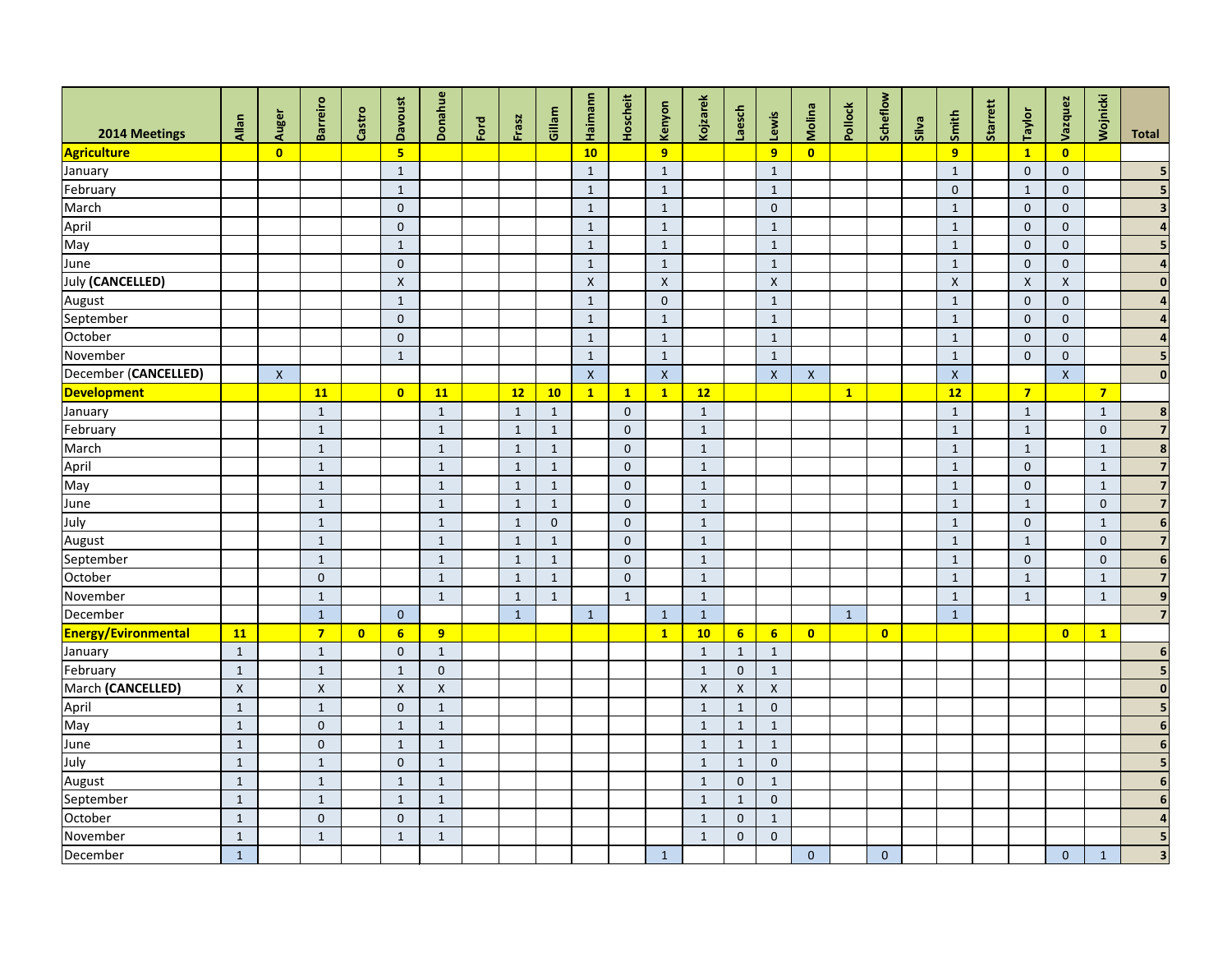| 2014 Meetings              | Allan        | Auger                   | <b>Barreiro</b>  | Castro    | <b>Davoust</b> | <b>Donahue</b>     | Ford | Frasz        | Gillam       | Haimann      | Hoscheit     | Kenyon                  | Kojzarek     | Laesch           | Lewis          | Molina                    | Pollock      | Scheflow                | Silva | Smith        | Starrett | Taylor             | Vazquez                 | Wojnicki       | <b>Total</b>            |
|----------------------------|--------------|-------------------------|------------------|-----------|----------------|--------------------|------|--------------|--------------|--------------|--------------|-------------------------|--------------|------------------|----------------|---------------------------|--------------|-------------------------|-------|--------------|----------|--------------------|-------------------------|----------------|-------------------------|
| <b>Agriculture</b>         |              | $\overline{\mathbf{0}}$ |                  |           | 5 <sub>1</sub> |                    |      |              |              | 10           |              | 9 <sup>°</sup>          |              |                  | 9              | $\overline{\mathbf{0}}$   |              |                         |       | 9            |          | $\mathbf{1}$       | $\overline{\mathbf{0}}$ |                |                         |
| January                    |              |                         |                  |           | $\mathbf{1}$   |                    |      |              |              | $\mathbf{1}$ |              | $\mathbf{1}$            |              |                  | $\mathbf{1}$   |                           |              |                         |       | $\mathbf{1}$ |          | $\overline{0}$     | $\mathbf{0}$            |                |                         |
| February                   |              |                         |                  |           | $\mathbf{1}$   |                    |      |              |              | $\mathbf{1}$ |              | $\mathbf{1}$            |              |                  | $\mathbf{1}$   |                           |              |                         |       | $\mathbf{0}$ |          | $\mathbf{1}$       | $\mathbf{0}$            |                |                         |
| March                      |              |                         |                  |           | $\mathbf 0$    |                    |      |              |              | $\mathbf{1}$ |              | $\mathbf{1}$            |              |                  | $\pmb{0}$      |                           |              |                         |       | $\mathbf{1}$ |          | $\overline{0}$     | $\mathbf{0}$            |                |                         |
| April                      |              |                         |                  |           | $\overline{0}$ |                    |      |              |              | $\mathbf{1}$ |              | $\mathbf{1}$            |              |                  | $\mathbf{1}$   |                           |              |                         |       | $\mathbf{1}$ |          | $\overline{0}$     | $\mathbf{0}$            |                |                         |
| May                        |              |                         |                  |           | $\mathbf{1}$   |                    |      |              |              | $\mathbf{1}$ |              | $\mathbf{1}$            |              |                  | $\mathbf{1}$   |                           |              |                         |       | $\mathbf{1}$ |          | $\overline{0}$     | $\mathbf{0}$            |                |                         |
| June                       |              |                         |                  |           | $\overline{0}$ |                    |      |              |              | $\mathbf{1}$ |              | $\mathbf{1}$            |              |                  | $\mathbf{1}$   |                           |              |                         |       | $\mathbf{1}$ |          | $\overline{0}$     | $\mathbf{0}$            |                |                         |
| July (CANCELLED)           |              |                         |                  |           | $\pmb{\times}$ |                    |      |              |              | $\mathsf X$  |              | $\mathsf{X}$            |              |                  | $\pmb{\times}$ |                           |              |                         |       | $\mathsf{X}$ |          | $\pmb{\mathsf{X}}$ | $\pmb{\mathsf{X}}$      |                | $\bf{0}$                |
| August                     |              |                         |                  |           | $\mathbf{1}$   |                    |      |              |              | $\mathbf{1}$ |              | $\overline{0}$          |              |                  | $\mathbf{1}$   |                           |              |                         |       | $\mathbf{1}$ |          | $\overline{0}$     | $\mathbf{0}$            |                |                         |
| September                  |              |                         |                  |           | $\overline{0}$ |                    |      |              |              | $\mathbf{1}$ |              | $\mathbf{1}$            |              |                  | $\mathbf{1}$   |                           |              |                         |       | $\mathbf{1}$ |          | $\overline{0}$     | $\mathbf{0}$            |                |                         |
| October                    |              |                         |                  |           | $\overline{0}$ |                    |      |              |              | $\mathbf{1}$ |              | $\mathbf{1}$            |              |                  | $\mathbf{1}$   |                           |              |                         |       | $\mathbf{1}$ |          | $\overline{0}$     | $\mathbf 0$             |                |                         |
| November                   |              |                         |                  |           | $\mathbf{1}$   |                    |      |              |              | $\mathbf{1}$ |              | $\mathbf{1}$            |              |                  | $\mathbf{1}$   |                           |              |                         |       | $\mathbf{1}$ |          | $\overline{0}$     | $\mathbf{0}$            |                | 5                       |
| December (CANCELLED)       |              | $\mathsf{X}$            |                  |           |                |                    |      |              |              | $\mathsf{X}$ |              | $\mathsf{X}$            |              |                  | $\mathsf{X}$   | $\boldsymbol{\mathsf{X}}$ |              |                         |       | $\mathsf{X}$ |          |                    | $\mathsf{X}$            |                | 0                       |
| <b>Development</b>         |              |                         | <b>11</b>        |           | $\bullet$      | 11                 |      | 12           | 10           | $\mathbf{1}$ | $\mathbf{1}$ | $\mathbf{1}$            | 12           |                  |                |                           | $\mathbf{1}$ |                         |       | 12           |          | 7 <sup>1</sup>     |                         | $\overline{7}$ |                         |
| January                    |              |                         | $\mathbf{1}$     |           |                | $\mathbf{1}$       |      | $\mathbf{1}$ | $\mathbf{1}$ |              | $\mathbf{0}$ |                         | $1\,$        |                  |                |                           |              |                         |       | $\mathbf{1}$ |          | $1\,$              |                         | $\mathbf{1}$   | 8                       |
| February                   |              |                         | $\mathbf{1}$     |           |                | $\mathbf{1}$       |      | $\mathbf{1}$ | $\mathbf{1}$ |              | $\mathbf{0}$ |                         | $\mathbf{1}$ |                  |                |                           |              |                         |       | $\mathbf{1}$ |          | $\mathbf{1}$       |                         | $\overline{0}$ | $\overline{\mathbf{z}}$ |
| March                      |              |                         | $\mathbf{1}$     |           |                | $\mathbf{1}$       |      | $\mathbf{1}$ | $\mathbf{1}$ |              | $\mathbf{0}$ |                         | $\mathbf{1}$ |                  |                |                           |              |                         |       | $\mathbf{1}$ |          | $\mathbf{1}$       |                         | $\mathbf{1}$   | 8                       |
| April                      |              |                         | $\mathbf{1}$     |           |                | $\mathbf{1}$       |      | $\mathbf{1}$ | $\mathbf{1}$ |              | $\mathbf{0}$ |                         | $\mathbf{1}$ |                  |                |                           |              |                         |       | $\mathbf{1}$ |          | $\mathbf{0}$       |                         | $\mathbf{1}$   | $\overline{7}$          |
| May                        |              |                         | $\mathbf{1}$     |           |                | $\mathbf{1}$       |      | $\mathbf{1}$ | $\mathbf{1}$ |              | $\mathbf{0}$ |                         | $\mathbf{1}$ |                  |                |                           |              |                         |       | $\mathbf{1}$ |          | $\mathbf{0}$       |                         | $\mathbf{1}$   | $\overline{7}$          |
| June                       |              |                         | $\mathbf{1}$     |           |                | $\mathbf{1}$       |      | $\mathbf{1}$ | $\mathbf{1}$ |              | $\mathbf{0}$ |                         | $\mathbf{1}$ |                  |                |                           |              |                         |       | $\mathbf{1}$ |          | $\mathbf{1}$       |                         | $\mathbf{0}$   | $\overline{7}$          |
| July                       |              |                         | $\mathbf{1}$     |           |                | $\mathbf{1}$       |      | $\mathbf{1}$ | $\mathbf{0}$ |              | $\mathbf{0}$ |                         | $\mathbf{1}$ |                  |                |                           |              |                         |       | $\mathbf{1}$ |          | $\overline{0}$     |                         | $\mathbf{1}$   | $6\phantom{1}6$         |
| August                     |              |                         | $\mathbf{1}$     |           |                | $\mathbf{1}$       |      | 1            | $\mathbf{1}$ |              | $\mathbf{0}$ |                         | $\mathbf{1}$ |                  |                |                           |              |                         |       | $\mathbf{1}$ |          | $\mathbf{1}$       |                         | $\overline{0}$ | $\overline{7}$          |
| September                  |              |                         | $\mathbf{1}$     |           |                | $\mathbf{1}$       |      | $\mathbf{1}$ | $\mathbf{1}$ |              | $\mathbf{0}$ |                         | $\mathbf{1}$ |                  |                |                           |              |                         |       | $\mathbf{1}$ |          | $\mathbf{0}$       |                         | $\mathbf 0$    | $6\phantom{1}6$         |
| October                    |              |                         | $\mathbf 0$      |           |                | $\mathbf{1}$       |      | $\mathbf{1}$ | $\mathbf{1}$ |              | $\mathbf{0}$ |                         | $\mathbf{1}$ |                  |                |                           |              |                         |       | $\mathbf{1}$ |          | $\mathbf{1}$       |                         | $\mathbf{1}$   | $\overline{7}$          |
| November                   |              |                         | $\mathbf{1}$     |           |                | $\mathbf{1}$       |      | $\mathbf{1}$ | $\mathbf{1}$ |              | $\mathbf{1}$ |                         | $\mathbf{1}$ |                  |                |                           |              |                         |       | $\mathbf{1}$ |          | $\mathbf{1}$       |                         | $\mathbf{1}$   | 9                       |
| December                   |              |                         | $\mathbf 1$      |           | $\overline{0}$ |                    |      | $\mathbf{1}$ |              | $\mathbf{1}$ |              | $\overline{\mathbf{1}}$ | $\mathbf{1}$ |                  |                |                           | $\mathbf{1}$ |                         |       | $\boxed{1}$  |          |                    |                         |                | $\overline{\mathbf{z}}$ |
| <b>Energy/Evironmental</b> | 11           |                         | $\overline{7}$   | $\bullet$ | 6 <sup>1</sup> | 9 <sup>°</sup>     |      |              |              |              |              | $\mathbf{1}$            | 10           | $6 \overline{6}$ | 6 <sup>1</sup> | $\overline{\mathbf{0}}$   |              | $\overline{\mathbf{0}}$ |       |              |          |                    | $\overline{\mathbf{0}}$ | $\mathbf{1}$   |                         |
| January                    | $\mathbf{1}$ |                         | $1\,$            |           | $\overline{0}$ | $\mathbf{1}$       |      |              |              |              |              |                         | $\mathbf{1}$ | $\mathbf{1}$     | $\mathbf{1}$   |                           |              |                         |       |              |          |                    |                         |                | 6                       |
| February                   | $\mathbf{1}$ |                         | $\mathbf{1}$     |           | $\mathbf{1}$   | $\mathbf{0}$       |      |              |              |              |              |                         | $\mathbf{1}$ | $\overline{0}$   | $\mathbf{1}$   |                           |              |                         |       |              |          |                    |                         |                | 5                       |
| March (CANCELLED)          | $\mathsf X$  |                         | $\pmb{\times}$   |           | $\mathsf{X}$   | $\pmb{\mathsf{X}}$ |      |              |              |              |              |                         | $\mathsf X$  | X                | $\mathsf X$    |                           |              |                         |       |              |          |                    |                         |                | $\bf{0}$                |
| April                      | $\mathbf{1}$ |                         | $\mathbf{1}$     |           | $\overline{0}$ | $\mathbf{1}$       |      |              |              |              |              |                         | $\mathbf{1}$ | $\mathbf{1}$     | $\overline{0}$ |                           |              |                         |       |              |          |                    |                         |                |                         |
| May                        | $\mathbf 1$  |                         | $\mathbf 0$      |           | $\mathbf{1}$   | $\mathbf{1}$       |      |              |              |              |              |                         | $\mathbf{1}$ | $\mathbf{1}$     |                |                           |              |                         |       |              |          |                    |                         |                | $6 \mid$                |
| June                       | $\mathbf{1}$ |                         | $\mathbf 0$      |           | $\mathbf{1}$   | $1\,$              |      |              |              |              |              |                         | $\mathbf{1}$ | $\mathbf{1}$     | $\mathbf{1}$   |                           |              |                         |       |              |          |                    |                         |                | 6                       |
| July                       | $\mathbf{1}$ |                         | $\mathbf{1}$     |           | $\overline{0}$ | $\mathbf{1}$       |      |              |              |              |              |                         | $\mathbf{1}$ | $\mathbf{1}$     | $\overline{0}$ |                           |              |                         |       |              |          |                    |                         |                | 5                       |
| August                     | $\mathbf{1}$ |                         | $\mathbf{1}$     |           | $\mathbf{1}$   | $\mathbf{1}$       |      |              |              |              |              |                         | $\mathbf{1}$ | $\mathbf{0}$     | $\mathbf{1}$   |                           |              |                         |       |              |          |                    |                         |                |                         |
| September                  | $\mathbf{1}$ |                         | $\mathbf{1}$     |           | $\mathbf{1}$   | $\mathbf{1}$       |      |              |              |              |              |                         | $\mathbf{1}$ | $\mathbf{1}$     | $\overline{0}$ |                           |              |                         |       |              |          |                    |                         |                |                         |
| October                    | $\mathbf{1}$ |                         | $\boldsymbol{0}$ |           | $\mathbf 0$    | $\mathbf{1}$       |      |              |              |              |              |                         | $\mathbf{1}$ | $\overline{0}$   | $\mathbf{1}$   |                           |              |                         |       |              |          |                    |                         |                |                         |
| November                   | $\mathbf{1}$ |                         | $1\,$            |           | $\mathbf{1}$   | $1\,$              |      |              |              |              |              |                         | $\mathbf{1}$ | $\mathbf{0}$     | $\overline{0}$ |                           |              |                         |       |              |          |                    |                         |                | 5 <sub>l</sub>          |
| December                   | $\mathbf{1}$ |                         |                  |           |                |                    |      |              |              |              |              | $\mathbf{1}$            |              |                  |                | $\overline{0}$            |              | $\overline{0}$          |       |              |          |                    | $\overline{0}$          | $\mathbf{1}$   | $\overline{\mathbf{3}}$ |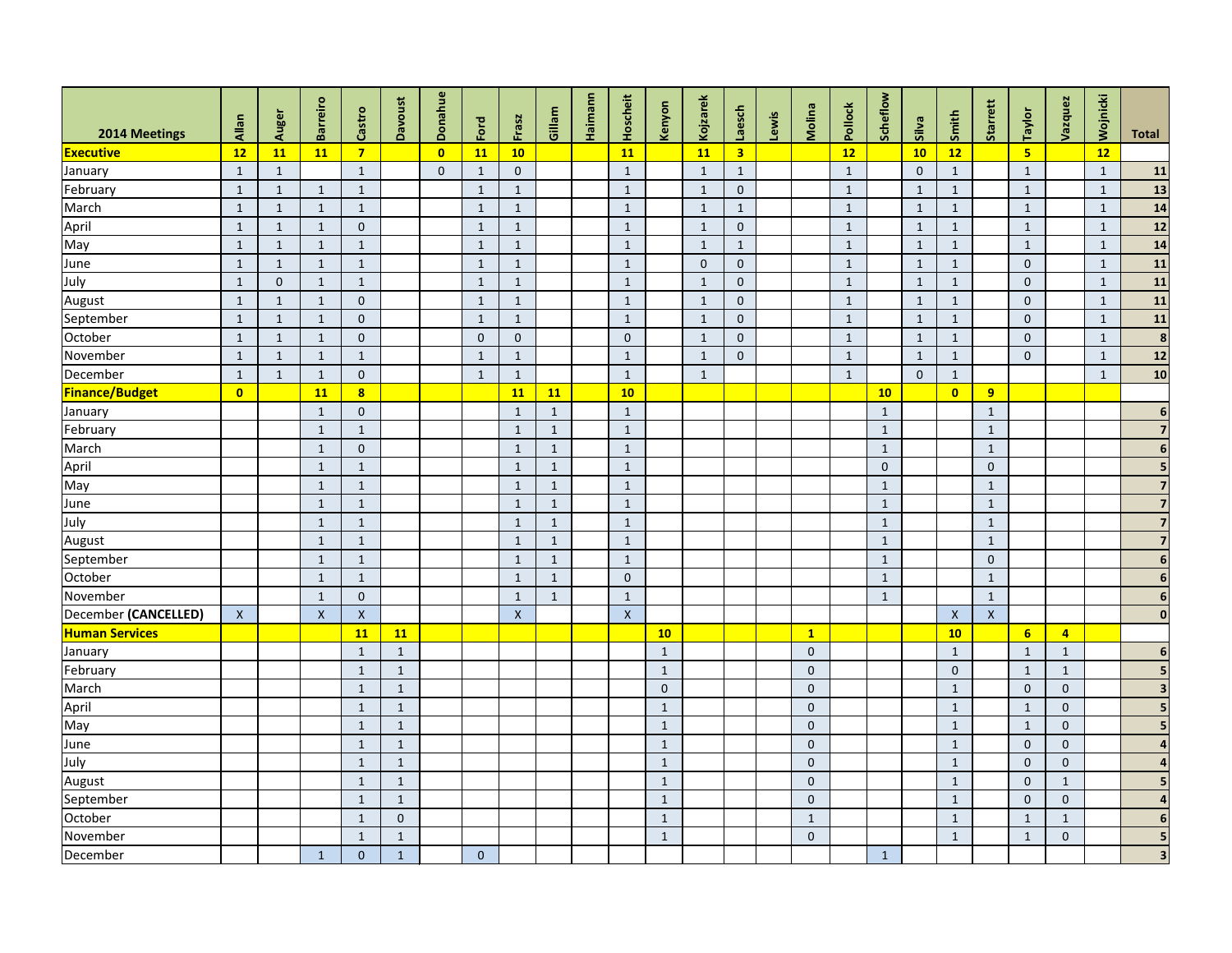| 2014 Meetings         | Allan        | Auger          | <b>Barreiro</b>    | Castro                  | <b>Davoust</b> | Donahue                 | Ford           | Frasz          | Gillam       | Haimann | Hoscheit           | Kenyon       | <b>Kojzarek</b> | Laesch                  | Lewis | Molina       | Pollock      | Scheflow     | Silva          | Smith                   | Starrett                  | Taylor         | Vazquez        | Wojnicki     | <b>Total</b>            |
|-----------------------|--------------|----------------|--------------------|-------------------------|----------------|-------------------------|----------------|----------------|--------------|---------|--------------------|--------------|-----------------|-------------------------|-------|--------------|--------------|--------------|----------------|-------------------------|---------------------------|----------------|----------------|--------------|-------------------------|
| Executive             | 12           | <b>11</b>      | 11                 | $\overline{7}$          |                | $\overline{\mathbf{0}}$ | <b>11</b>      | 10             |              |         | <b>11</b>          |              | 11              | $\overline{\mathbf{3}}$ |       |              | 12           |              | 10             | 12                      |                           | 5 <sub>1</sub> |                | 12           |                         |
| January               | $\mathbf{1}$ | $\mathbf{1}$   |                    | $\mathbf{1}$            |                | $\mathbf{0}$            | $\mathbf{1}$   | $\overline{0}$ |              |         | $\mathbf{1}$       |              | $\mathbf{1}$    | $\mathbf{1}$            |       |              | $\mathbf{1}$ |              | $\overline{0}$ | $\mathbf{1}$            |                           | $\mathbf{1}$   |                | $\mathbf{1}$ | 11                      |
| February              | $\mathbf{1}$ | $\mathbf{1}$   | $\mathbf{1}$       | $\mathbf{1}$            |                |                         | $\mathbf{1}$   | $\mathbf{1}$   |              |         | $\mathbf{1}$       |              | $\mathbf{1}$    | $\overline{0}$          |       |              | $\mathbf{1}$ |              | $\mathbf{1}$   | $\mathbf{1}$            |                           | $\mathbf{1}$   |                | $\mathbf{1}$ | 13                      |
| March                 | $\mathbf{1}$ | $\mathbf{1}$   | $\mathbf{1}$       | $\mathbf{1}$            |                |                         | $\mathbf{1}$   | $\mathbf 1$    |              |         | $\mathbf{1}$       |              | $\mathbf{1}$    | $\mathbf{1}$            |       |              | $\mathbf{1}$ |              | $\mathbf{1}$   | $\mathbf{1}$            |                           | $\mathbf{1}$   |                | $\mathbf{1}$ | 14                      |
| April                 | $\mathbf{1}$ | $\mathbf{1}$   | $\mathbf{1}$       | $\mathbf{0}$            |                |                         | $\mathbf{1}$   | $\mathbf{1}$   |              |         | $\mathbf{1}$       |              | $\mathbf{1}$    | $\mathbf 0$             |       |              | $\mathbf{1}$ |              | $\mathbf{1}$   | $\mathbf{1}$            |                           | $\mathbf{1}$   |                | $\mathbf{1}$ | 12                      |
| May                   | $\mathbf{1}$ | $\mathbf{1}$   | $\mathbf{1}$       | $\mathbf{1}$            |                |                         | $\mathbf{1}$   | $\mathbf{1}$   |              |         | $\mathbf{1}$       |              | $\mathbf{1}$    | $\mathbf{1}$            |       |              | $\mathbf{1}$ |              | $\mathbf{1}$   | $\mathbf{1}$            |                           | $\mathbf{1}$   |                | $\mathbf{1}$ | 14                      |
| June                  | $\mathbf{1}$ | $\mathbf{1}$   | $\mathbf{1}$       | $\mathbf{1}$            |                |                         | $\mathbf{1}$   | $\mathbf{1}$   |              |         | $\mathbf{1}$       |              | $\mathbf{0}$    | $\mathbf{0}$            |       |              | $\mathbf{1}$ |              | $\mathbf{1}$   | $\mathbf{1}$            |                           | $\mathbf{0}$   |                | $\mathbf{1}$ | 11                      |
| July                  | $\mathbf{1}$ | $\overline{0}$ | $\mathbf{1}$       | $\mathbf{1}$            |                |                         | $\mathbf{1}$   | $\mathbf{1}$   |              |         | $\mathbf{1}$       |              | $\mathbf{1}$    | $\mathbf{0}$            |       |              | $\mathbf{1}$ |              | $\mathbf{1}$   | $\mathbf{1}$            |                           | $\overline{0}$ |                | $\mathbf{1}$ | 11                      |
| August                | $\mathbf{1}$ | $\mathbf{1}$   | $\mathbf{1}$       | $\mathbf{0}$            |                |                         | $\mathbf{1}$   | $\mathbf{1}$   |              |         | $\mathbf{1}$       |              | $\mathbf{1}$    | $\mathbf{0}$            |       |              | $\mathbf{1}$ |              | $\mathbf{1}$   | $\mathbf{1}$            |                           | $\overline{0}$ |                | $\mathbf{1}$ | 11                      |
| September             | $\mathbf{1}$ | $\mathbf{1}$   | $\mathbf{1}$       | $\overline{0}$          |                |                         | $\mathbf{1}$   | $\mathbf{1}$   |              |         | $\mathbf{1}$       |              | $\mathbf{1}$    | $\mathbf{0}$            |       |              | $\mathbf{1}$ |              | $\mathbf{1}$   | $\mathbf{1}$            |                           | $\overline{0}$ |                | $\mathbf{1}$ | 11                      |
| October               | $\mathbf{1}$ | $\mathbf{1}$   | $\mathbf{1}$       | $\mathbf{0}$            |                |                         | $\overline{0}$ | $\overline{0}$ |              |         | $\mathbf{0}$       |              | $\mathbf{1}$    | $\mathbf{0}$            |       |              | $\mathbf{1}$ |              | $\mathbf{1}$   | $\mathbf{1}$            |                           | $\overline{0}$ |                | $\mathbf{1}$ | $\boldsymbol{8}$        |
| November              | $\mathbf{1}$ | $\mathbf{1}$   | $\mathbf{1}$       | $\mathbf{1}$            |                |                         | $\mathbf{1}$   | $\mathbf{1}$   |              |         | $\mathbf{1}$       |              | $\mathbf{1}$    | $\mathbf{0}$            |       |              | $\mathbf{1}$ |              | $\mathbf{1}$   | $\mathbf{1}$            |                           | $\mathbf{0}$   |                | $\mathbf{1}$ | 12                      |
| December              | $\mathbf{1}$ | $\mathbf{1}$   | $\mathbf{1}$       | $\overline{0}$          |                |                         | $\mathbf{1}$   | $\mathbf{1}$   |              |         | $\mathbf{1}$       |              | $\mathbf{1}$    |                         |       |              | $\mathbf{1}$ |              | $\overline{0}$ | $\mathbf{1}$            |                           |                |                | $\mathbf{1}$ | 10                      |
| <b>Finance/Budget</b> | $\bullet$    |                | <b>11</b>          | $\overline{\mathbf{8}}$ |                |                         |                | <b>11</b>      | <b>11</b>    |         | 10                 |              |                 |                         |       |              |              | 10           |                | $\overline{\mathbf{0}}$ | 9                         |                |                |              |                         |
| January               |              |                | $\mathbf{1}$       | $\mathbf{0}$            |                |                         |                | $\mathbf{1}$   | $\mathbf{1}$ |         | $\mathbf{1}$       |              |                 |                         |       |              |              | $\mathbf{1}$ |                |                         | $\mathbf{1}$              |                |                |              | 6                       |
| February              |              |                | $\mathbf{1}$       | $\mathbf{1}$            |                |                         |                | $\mathbf{1}$   | $\mathbf{1}$ |         | $\mathbf{1}$       |              |                 |                         |       |              |              | $\mathbf{1}$ |                |                         | $\mathbf{1}$              |                |                |              |                         |
| March                 |              |                | $\mathbf{1}$       | $\overline{0}$          |                |                         |                | 1              | $\mathbf{1}$ |         | $\mathbf{1}$       |              |                 |                         |       |              |              | $\mathbf{1}$ |                |                         | 1                         |                |                |              |                         |
| April                 |              |                | $\mathbf{1}$       | $\mathbf{1}$            |                |                         |                | $\mathbf{1}$   | $\mathbf{1}$ |         | $\mathbf{1}$       |              |                 |                         |       |              |              | $\mathbf 0$  |                |                         | $\pmb{0}$                 |                |                |              |                         |
| May                   |              |                | $\mathbf{1}$       | $\mathbf{1}$            |                |                         |                | $\mathbf{1}$   | $\mathbf{1}$ |         | $\mathbf{1}$       |              |                 |                         |       |              |              | $\mathbf{1}$ |                |                         | $\mathbf{1}$              |                |                |              |                         |
| June                  |              |                | $\mathbf{1}$       | $\mathbf{1}$            |                |                         |                | $\mathbf{1}$   | $\mathbf{1}$ |         | $\mathbf{1}$       |              |                 |                         |       |              |              | $\mathbf{1}$ |                |                         | $\mathbf{1}$              |                |                |              |                         |
| July                  |              |                | $\mathbf{1}$       | $\mathbf{1}$            |                |                         |                | $\mathbf{1}$   | $\mathbf{1}$ |         | $\mathbf{1}$       |              |                 |                         |       |              |              | $\mathbf{1}$ |                |                         | $\mathbf{1}$              |                |                |              |                         |
| August                |              |                | $\mathbf{1}$       | $\mathbf{1}$            |                |                         |                | $\mathbf{1}$   | $\mathbf{1}$ |         | $\mathbf{1}$       |              |                 |                         |       |              |              | $\mathbf{1}$ |                |                         | $\mathbf{1}$              |                |                |              |                         |
| September             |              |                | $\mathbf{1}$       | $\mathbf{1}$            |                |                         |                | $\mathbf{1}$   | $\mathbf{1}$ |         | $\mathbf{1}$       |              |                 |                         |       |              |              | $\mathbf{1}$ |                |                         | $\mathbf 0$               |                |                |              |                         |
| October               |              |                | $\mathbf{1}$       | $\mathbf{1}$            |                |                         |                | $\mathbf{1}$   | $\mathbf{1}$ |         | $\mathbf{0}$       |              |                 |                         |       |              |              | $\mathbf{1}$ |                |                         | $\mathbf{1}$              |                |                |              | 6                       |
| November              |              |                | $\mathbf{1}$       | $\mathbf{0}$            |                |                         |                | $\mathbf{1}$   | $\mathbf{1}$ |         | $\mathbf{1}$       |              |                 |                         |       |              |              | $\mathbf{1}$ |                |                         | $\mathbf{1}$              |                |                |              | 6                       |
| December (CANCELLED)  | $\mathsf X$  |                | $\pmb{\mathsf{X}}$ | $\pmb{\mathsf{X}}$      |                |                         |                | $\mathsf X$    |              |         | $\pmb{\mathsf{X}}$ |              |                 |                         |       |              |              |              |                | $\mathsf X$             | $\boldsymbol{\mathsf{X}}$ |                |                |              | $\mathbf 0$             |
| <b>Human Services</b> |              |                |                    | <b>11</b>               | 11             |                         |                |                |              |         |                    | 10           |                 |                         |       | $\mathbf{1}$ |              |              |                | 10                      |                           | 6 <sup>1</sup> | $\overline{4}$ |              |                         |
| January               |              |                |                    | $\mathbf{1}$            | $\mathbf{1}$   |                         |                |                |              |         |                    | $\mathbf{1}$ |                 |                         |       | $\mathbf{0}$ |              |              |                | $\mathbf{1}$            |                           | $\mathbf{1}$   | $\mathbf{1}$   |              | $6\phantom{1}6$         |
| February              |              |                |                    | $\mathbf{1}$            | $\mathbf{1}$   |                         |                |                |              |         |                    | $\mathbf{1}$ |                 |                         |       | $\mathbf{0}$ |              |              |                | $\mathbf{0}$            |                           | $\mathbf{1}$   | $\mathbf{1}$   |              | 5                       |
| March                 |              |                |                    | $\mathbf{1}$            | $\mathbf{1}$   |                         |                |                |              |         |                    | $\mathbf 0$  |                 |                         |       | $\bf 0$      |              |              |                | $\mathbf{1}$            |                           | $\mathbf{0}$   | $\mathbf{0}$   |              | 3                       |
| April                 |              |                |                    | $\mathbf{1}$            | $\mathbf{1}$   |                         |                |                |              |         |                    | $\mathbf{1}$ |                 |                         |       | $\mathbf 0$  |              |              |                | $\mathbf{1}$            |                           | $\mathbf{1}$   | $\mathbf 0$    |              | 5                       |
| May                   |              |                |                    | $\mathbf{1}$            | $\mathbf{1}$   |                         |                |                |              |         |                    | $\mathbf{1}$ |                 |                         |       | $\pmb{0}$    |              |              |                | $\mathbf{1}$            |                           | $\mathbf{1}$   | $\mathbf{0}$   |              | 5                       |
| June                  |              |                |                    | $\mathbf{1}$            | $\mathbf{1}$   |                         |                |                |              |         |                    | $\mathbf{1}$ |                 |                         |       | $\bf 0$      |              |              |                | $\mathbf{1}$            |                           | $\overline{0}$ | $\mathbf{0}$   |              |                         |
| July                  |              |                |                    | $\mathbf{1}$            | $\mathbf{1}$   |                         |                |                |              |         |                    | $\mathbf{1}$ |                 |                         |       | $\mathbf{0}$ |              |              |                | $\mathbf{1}$            |                           | $\overline{0}$ | $\mathbf{0}$   |              | $\boldsymbol{4}$        |
| August                |              |                |                    | $\mathbf{1}$            | $\mathbf{1}$   |                         |                |                |              |         |                    | $\mathbf{1}$ |                 |                         |       | $\mathbf{0}$ |              |              |                | $\mathbf{1}$            |                           | $\mathbf{0}$   | $\mathbf{1}$   |              |                         |
| September             |              |                |                    | $\mathbf{1}$            | $\mathbf{1}$   |                         |                |                |              |         |                    | $\mathbf{1}$ |                 |                         |       | $\mathbf 0$  |              |              |                | $\mathbf{1}$            |                           | $\overline{0}$ | $\mathbf{0}$   |              | $\Delta$                |
| October               |              |                |                    | $\mathbf{1}$            | $\overline{0}$ |                         |                |                |              |         |                    | $\mathbf{1}$ |                 |                         |       | $\mathbf{1}$ |              |              |                | $\mathbf{1}$            |                           | $\mathbf{1}$   | $\mathbf{1}$   |              | $6 \overline{6}$        |
| November              |              |                |                    | $\mathbf{1}$            | $\mathbf{1}$   |                         |                |                |              |         |                    | $\mathbf{1}$ |                 |                         |       | $\bf 0$      |              |              |                | $\mathbf{1}$            |                           | $\mathbf{1}$   | $\mathbf 0$    |              | 5                       |
| December              |              |                | $\mathbf{1}$       | $\mathbf{0}$            | $\mathbf{1}$   |                         | $\overline{0}$ |                |              |         |                    |              |                 |                         |       |              |              | $\mathbf{1}$ |                |                         |                           |                |                |              | $\overline{\mathbf{3}}$ |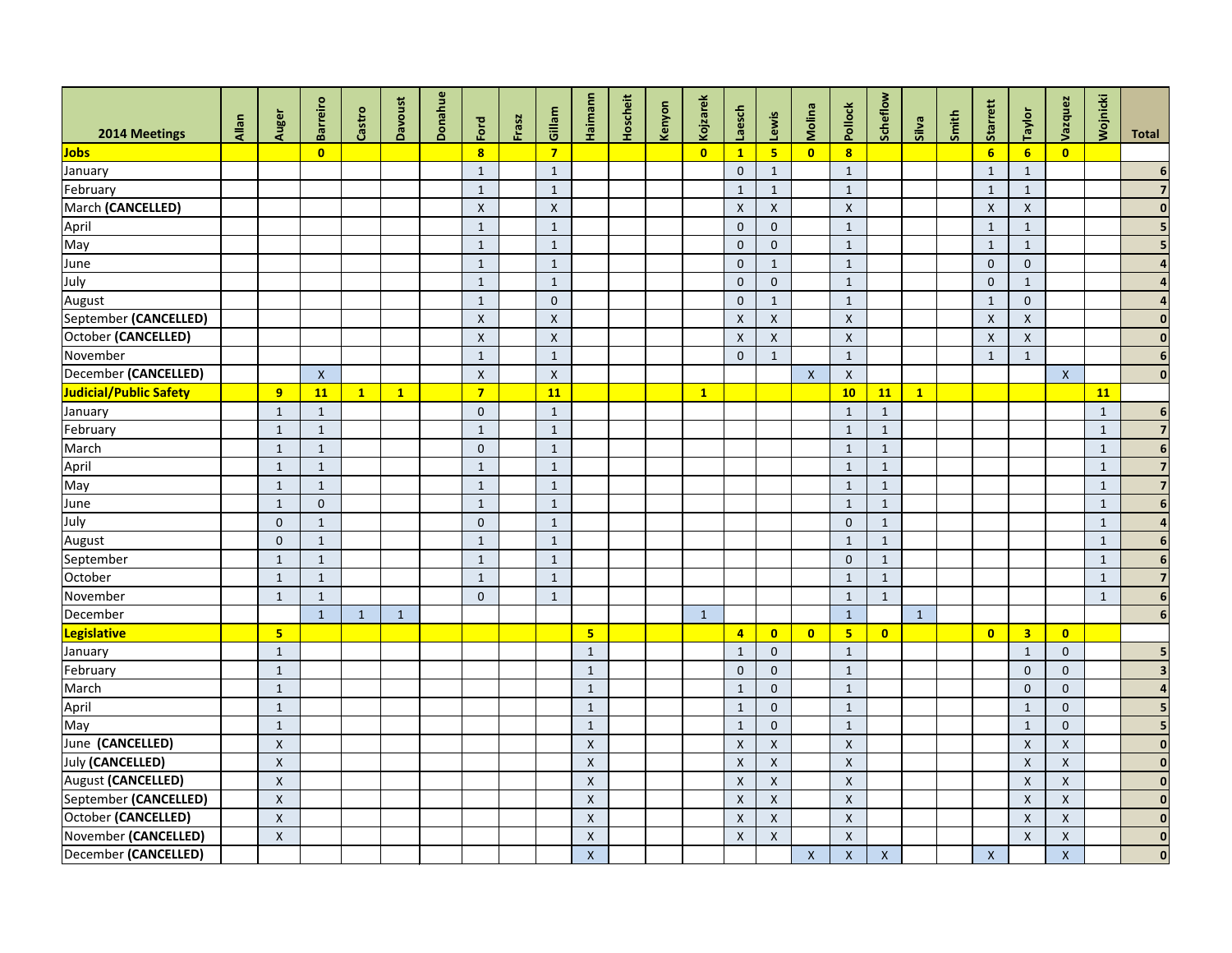| 2014 Meetings          | Allan | Auger                     | <b>Barreiro</b>         | Castro       | <b>Davoust</b> | Donahue | Ford                    | Frasz | Gillam         | Haimann            | Hoscheit | Kenyon | Kojzarek                | Laesch                    | Lewis              | Molina                    | Pollock                 | Scheflow                | <b>Silva</b> | Smith | Starrett                  | Taylor             | Vazquez                 | Wojnicki     | <b>Total</b>    |
|------------------------|-------|---------------------------|-------------------------|--------------|----------------|---------|-------------------------|-------|----------------|--------------------|----------|--------|-------------------------|---------------------------|--------------------|---------------------------|-------------------------|-------------------------|--------------|-------|---------------------------|--------------------|-------------------------|--------------|-----------------|
| Jobs                   |       |                           | $\overline{\mathbf{0}}$ |              |                |         | $\overline{\mathbf{8}}$ |       | $\overline{7}$ |                    |          |        | $\overline{\mathbf{0}}$ | $\mathbf{1}$              | 5 <sub>1</sub>     | $\overline{\mathbf{0}}$   | $\overline{\mathbf{8}}$ |                         |              |       | $6\overline{6}$           | 6 <sup>1</sup>     | $\overline{\mathbf{0}}$ |              |                 |
| January                |       |                           |                         |              |                |         | $\mathbf{1}$            |       | $\mathbf{1}$   |                    |          |        |                         | $\mathbf{0}$              | $\mathbf{1}$       |                           | $\mathbf{1}$            |                         |              |       | $\mathbf{1}$              | $\mathbf{1}$       |                         |              |                 |
| February               |       |                           |                         |              |                |         | $\mathbf{1}$            |       | $\mathbf{1}$   |                    |          |        |                         | $\mathbf{1}$              | $\mathbf{1}$       |                           | $\mathbf{1}$            |                         |              |       | $\mathbf{1}$              | $\mathbf{1}$       |                         |              |                 |
| March (CANCELLED)      |       |                           |                         |              |                |         | $\pmb{\times}$          |       | $\mathsf{X}$   |                    |          |        |                         | $\boldsymbol{\mathsf{X}}$ | $\mathsf{X}$       |                           | $\pmb{\times}$          |                         |              |       | $\boldsymbol{\mathsf{X}}$ | X                  |                         |              |                 |
| April                  |       |                           |                         |              |                |         | $\mathbf{1}$            |       | $\mathbf{1}$   |                    |          |        |                         | $\mathbf{0}$              | $\overline{0}$     |                           | $\mathbf{1}$            |                         |              |       | $\mathbf{1}$              | $1\,$              |                         |              |                 |
| May                    |       |                           |                         |              |                |         | $\mathbf{1}$            |       | $\mathbf{1}$   |                    |          |        |                         | $\overline{0}$            | $\overline{0}$     |                           | $\mathbf{1}$            |                         |              |       | $\mathbf{1}$              | $\mathbf{1}$       |                         |              |                 |
| June                   |       |                           |                         |              |                |         | $\mathbf{1}$            |       | $\mathbf{1}$   |                    |          |        |                         | $\mathbf 0$               | $\mathbf{1}$       |                           | $\mathbf{1}$            |                         |              |       | $\overline{0}$            | $\overline{0}$     |                         |              |                 |
| July                   |       |                           |                         |              |                |         | $\mathbf{1}$            |       | $\mathbf{1}$   |                    |          |        |                         | $\mathbf{0}$              | $\mathbf{0}$       |                           | $\mathbf{1}$            |                         |              |       | $\mathbf 0$               | $\mathbf{1}$       |                         |              |                 |
| August                 |       |                           |                         |              |                |         | $\mathbf{1}$            |       | $\overline{0}$ |                    |          |        |                         | $\mathbf{0}$              | $\mathbf{1}$       |                           | $\mathbf{1}$            |                         |              |       | $\mathbf{1}$              | $\overline{0}$     |                         |              |                 |
| September (CANCELLED)  |       |                           |                         |              |                |         | $\mathsf X$             |       | $\mathsf{X}$   |                    |          |        |                         | $\boldsymbol{\mathsf{X}}$ | $\pmb{\mathsf{X}}$ |                           | $\pmb{\mathsf{X}}$      |                         |              |       | $\boldsymbol{\mathsf{X}}$ | $\pmb{\mathsf{X}}$ |                         |              |                 |
| October (CANCELLED)    |       |                           |                         |              |                |         | $\pmb{\times}$          |       | $\mathsf{X}$   |                    |          |        |                         | $\mathsf{X}$              | $\pmb{\mathsf{X}}$ |                           | $\pmb{\mathsf{X}}$      |                         |              |       | $\boldsymbol{\mathsf{X}}$ | $\pmb{\mathsf{X}}$ |                         |              |                 |
| November               |       |                           |                         |              |                |         | $\mathbf{1}$            |       | $\mathbf{1}$   |                    |          |        |                         | $\mathbf{0}$              | $\mathbf{1}$       |                           | $\mathbf{1}$            |                         |              |       | $\mathbf{1}$              | $\mathbf{1}$       |                         |              | 6               |
| December (CANCELLED)   |       |                           | $\boldsymbol{X}$        |              |                |         | $\pmb{\mathsf{X}}$      |       | $\pmb{\times}$ |                    |          |        |                         |                           |                    | $\mathsf{X}$              | $\pmb{\mathsf{X}}$      |                         |              |       |                           |                    | $\mathsf{X}$            |              | $\mathbf 0$     |
| Judicial/Public Safety |       | 9                         | 11                      | $\mathbf{1}$ | $\mathbf{1}$   |         | $\overline{7}$          |       | <b>11</b>      |                    |          |        | $\mathbf{1}$            |                           |                    |                           | 10                      | 11                      | $\mathbf{1}$ |       |                           |                    |                         | 11           |                 |
| January                |       | $\mathbf{1}$              | $\mathbf{1}$            |              |                |         | $\overline{0}$          |       | $\mathbf{1}$   |                    |          |        |                         |                           |                    |                           | $\mathbf{1}$            | $\mathbf{1}$            |              |       |                           |                    |                         | $\mathbf{1}$ | 6               |
| February               |       | $\mathbf{1}$              | $\mathbf{1}$            |              |                |         | $\mathbf{1}$            |       | $\mathbf{1}$   |                    |          |        |                         |                           |                    |                           | $\mathbf{1}$            | $\mathbf{1}$            |              |       |                           |                    |                         | $\mathbf{1}$ | 7               |
| March                  |       | $\mathbf{1}$              | -1                      |              |                |         | $\mathbf{0}$            |       | $\mathbf{1}$   |                    |          |        |                         |                           |                    |                           | 1                       | $\mathbf{1}$            |              |       |                           |                    |                         | $\mathbf{1}$ | 6               |
| April                  |       | $\mathbf{1}$              | 1                       |              |                |         | $\mathbf{1}$            |       | $\mathbf{1}$   |                    |          |        |                         |                           |                    |                           | $\mathbf{1}$            | $\mathbf{1}$            |              |       |                           |                    |                         | $\mathbf{1}$ | $\overline{7}$  |
| May                    |       | $\mathbf{1}$              |                         |              |                |         | $\mathbf{1}$            |       | $\mathbf{1}$   |                    |          |        |                         |                           |                    |                           | $\mathbf{1}$            | $\mathbf{1}$            |              |       |                           |                    |                         | $\mathbf{1}$ | $\overline{7}$  |
| June                   |       | $\mathbf{1}$              | $\mathbf 0$             |              |                |         | $\mathbf{1}$            |       | $\mathbf{1}$   |                    |          |        |                         |                           |                    |                           | $\mathbf{1}$            | $\mathbf{1}$            |              |       |                           |                    |                         | $\mathbf{1}$ | 6               |
| July                   |       | $\overline{0}$            | $\mathbf{1}$            |              |                |         | $\overline{0}$          |       | $\mathbf{1}$   |                    |          |        |                         |                           |                    |                           | $\mathbf 0$             | $\mathbf{1}$            |              |       |                           |                    |                         | $\mathbf{1}$ |                 |
| <b>August</b>          |       | $\mathbf{0}$              | $\mathbf{1}$            |              |                |         | $\mathbf{1}$            |       | $\mathbf{1}$   |                    |          |        |                         |                           |                    |                           | $\mathbf{1}$            | $\mathbf{1}$            |              |       |                           |                    |                         | $\mathbf{1}$ | $6\phantom{1}6$ |
| September              |       | $\mathbf{1}$              | 1                       |              |                |         | $\mathbf{1}$            |       | $\mathbf{1}$   |                    |          |        |                         |                           |                    |                           | $\mathbf 0$             | $\mathbf{1}$            |              |       |                           |                    |                         | $\mathbf{1}$ | $6\phantom{1}6$ |
| October                |       | $\mathbf{1}$              | $\mathbf{1}$            |              |                |         | $\mathbf{1}$            |       | $\mathbf{1}$   |                    |          |        |                         |                           |                    |                           | $\mathbf{1}$            | $\mathbf{1}$            |              |       |                           |                    |                         | $\mathbf{1}$ | 7               |
| November               |       | $\mathbf{1}$              | $\mathbf 1$             |              |                |         | $\overline{0}$          |       | $\mathbf{1}$   |                    |          |        |                         |                           |                    |                           | $\mathbf{1}$            | $\mathbf{1}$            |              |       |                           |                    |                         | $\mathbf{1}$ | 6               |
| December               |       |                           | $\mathbf{1}$            | $\sqrt{1}$   | $\mathbf{1}$   |         |                         |       |                |                    |          |        | $\mathbf 1$             |                           |                    |                           | $\mathbf{1}$            |                         | $\mathbf{1}$ |       |                           |                    |                         |              |                 |
| <b>Legislative</b>     |       | 5 <sub>5</sub>            |                         |              |                |         |                         |       |                | 5 <sub>5</sub>     |          |        |                         | $\overline{4}$            | $\bullet$          | $\overline{\mathbf{0}}$   | 5 <sub>1</sub>          | $\overline{\mathbf{0}}$ |              |       | $\overline{\mathbf{0}}$   | 3 <sup>7</sup>     | $\overline{\mathbf{0}}$ |              |                 |
| January                |       | $\mathbf{1}$              |                         |              |                |         |                         |       |                | $\mathbf{1}$       |          |        |                         | $\mathbf{1}$              | $\overline{0}$     |                           | $\mathbf{1}$            |                         |              |       |                           | $\mathbf{1}$       | $\overline{0}$          |              |                 |
| February               |       | $\mathbf{1}$              |                         |              |                |         |                         |       |                | $\mathbf{1}$       |          |        |                         | $\mathbf{0}$              | $\overline{0}$     |                           | $\mathbf{1}$            |                         |              |       |                           | $\overline{0}$     | $\mathbf{0}$            |              |                 |
| March                  |       | $\mathbf{1}$              |                         |              |                |         |                         |       |                | $\mathbf{1}$       |          |        |                         | $\mathbf{1}$              | $\mathbf{0}$       |                           | $\mathbf{1}$            |                         |              |       |                           | $\mathbf{0}$       | $\mathbf{0}$            |              |                 |
| April                  |       | $\mathbf{1}$              |                         |              |                |         |                         |       |                | $\mathbf{1}$       |          |        |                         | $\mathbf{1}$              | $\overline{0}$     |                           | $\mathbf{1}$            |                         |              |       |                           | $\mathbf{1}$       | $\mathbf{0}$            |              |                 |
| May                    |       | $\mathbf{1}$              |                         |              |                |         |                         |       |                | $\mathbf{1}$       |          |        |                         | $\mathbf{1}$              | $\overline{0}$     |                           | $\mathbf{1}$            |                         |              |       |                           | $\mathbf{1}$       | $\mathbf 0$             |              |                 |
| June (CANCELLED)       |       | $\mathsf{X}$              |                         |              |                |         |                         |       |                | $\mathsf{X}$       |          |        |                         | $\pmb{\times}$            | $\mathsf{X}$       |                           | $\pmb{\mathsf{X}}$      |                         |              |       |                           | X                  | $\mathsf{X}$            |              | $\mathbf 0$     |
| July (CANCELLED)       |       | $\boldsymbol{\mathsf{X}}$ |                         |              |                |         |                         |       |                | $\pmb{\times}$     |          |        |                         | $\pmb{\times}$            | $\mathsf X$        |                           | $\pmb{\mathsf{X}}$      |                         |              |       |                           | $\pmb{\times}$     | $\pmb{\mathsf{X}}$      |              | $\mathbf{0}$    |
| August (CANCELLED)     |       | $\boldsymbol{X}$          |                         |              |                |         |                         |       |                | $\boldsymbol{X}$   |          |        |                         | $\pmb{\times}$            | $\mathsf{X}$       |                           | $\pmb{\mathsf{X}}$      |                         |              |       |                           | $\pmb{\times}$     | $\pmb{\mathsf{X}}$      |              | $\mathbf{0}$    |
| September (CANCELLED)  |       | $\boldsymbol{\mathsf{X}}$ |                         |              |                |         |                         |       |                | $\mathsf X$        |          |        |                         | $\mathsf X$               | $\mathsf X$        |                           | $\mathsf X$             |                         |              |       |                           | $\mathsf X$        | $\pmb{\mathsf{X}}$      |              | $\bf{0}$        |
| October (CANCELLED)    |       | $\mathsf X$               |                         |              |                |         |                         |       |                | $\pmb{\mathsf{X}}$ |          |        |                         | $\mathsf{X}$              | $\mathsf X$        |                           | $\mathsf X$             |                         |              |       |                           | X                  | $\mathsf{X}$            |              | $\mathbf 0$     |
| November (CANCELLED)   |       | $\boldsymbol{\mathsf{X}}$ |                         |              |                |         |                         |       |                | $\mathsf{X}$       |          |        |                         | $\boldsymbol{\mathsf{X}}$ | $\mathsf X$        |                           | $\pmb{\mathsf{X}}$      |                         |              |       |                           | $\pmb{\times}$     | $\mathsf X$             |              | $\mathbf{0}$    |
| December (CANCELLED)   |       |                           |                         |              |                |         |                         |       |                | $\mathsf X$        |          |        |                         |                           |                    | $\boldsymbol{\mathsf{X}}$ | $\mathsf X$             | $\mathsf X$             |              |       | $\mathsf{X}$              |                    | $\mathsf X$             |              | 0               |